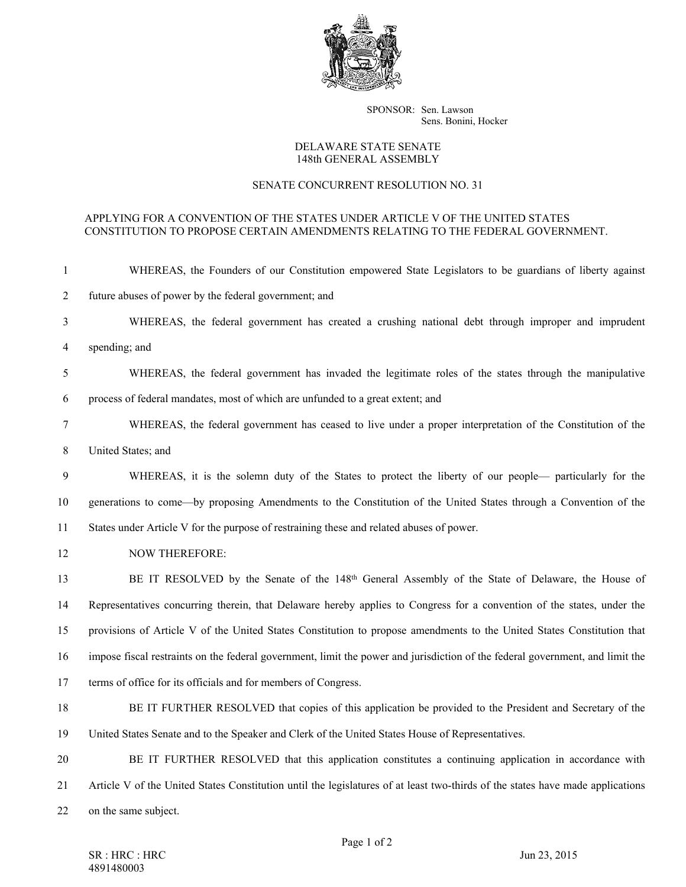

SPONSOR: Sen. Lawson Sens. Bonini, Hocker

## DELAWARE STATE SENATE 148th GENERAL ASSEMBLY

## SENATE CONCURRENT RESOLUTION NO. 31

## APPLYING FOR A CONVENTION OF THE STATES UNDER ARTICLE V OF THE UNITED STATES CONSTITUTION TO PROPOSE CERTAIN AMENDMENTS RELATING TO THE FEDERAL GOVERNMENT.

| -1             | WHEREAS, the Founders of our Constitution empowered State Legislators to be guardians of liberty against                       |
|----------------|--------------------------------------------------------------------------------------------------------------------------------|
| $\overline{2}$ | future abuses of power by the federal government; and                                                                          |
| $\mathfrak{Z}$ | WHEREAS, the federal government has created a crushing national debt through improper and imprudent                            |
| 4              | spending; and                                                                                                                  |
| 5              | WHEREAS, the federal government has invaded the legitimate roles of the states through the manipulative                        |
| 6              | process of federal mandates, most of which are unfunded to a great extent; and                                                 |
| 7              | WHEREAS, the federal government has ceased to live under a proper interpretation of the Constitution of the                    |
| $8\,$          | United States; and                                                                                                             |
| 9              | WHEREAS, it is the solemn duty of the States to protect the liberty of our people— particularly for the                        |
| 10             | generations to come—by proposing Amendments to the Constitution of the United States through a Convention of the               |
| 11             | States under Article V for the purpose of restraining these and related abuses of power.                                       |
| 12             | <b>NOW THEREFORE:</b>                                                                                                          |
| 13             | BE IT RESOLVED by the Senate of the 148 <sup>th</sup> General Assembly of the State of Delaware, the House of                  |
| 14             | Representatives concurring therein, that Delaware hereby applies to Congress for a convention of the states, under the         |
| 15             | provisions of Article V of the United States Constitution to propose amendments to the United States Constitution that         |
| 16             | impose fiscal restraints on the federal government, limit the power and jurisdiction of the federal government, and limit the  |
| 17             | terms of office for its officials and for members of Congress.                                                                 |
| 18             | BE IT FURTHER RESOLVED that copies of this application be provided to the President and Secretary of the                       |
| 19             | United States Senate and to the Speaker and Clerk of the United States House of Representatives.                               |
| 20             | BE IT FURTHER RESOLVED that this application constitutes a continuing application in accordance with                           |
| 21             | Article V of the United States Constitution until the legislatures of at least two-thirds of the states have made applications |
| 22             | on the same subject.                                                                                                           |